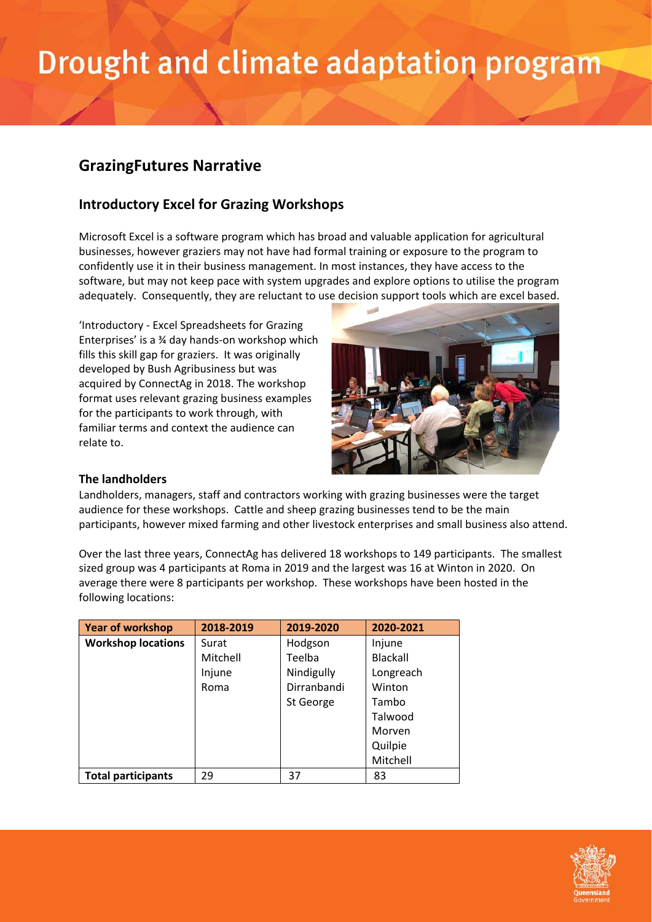# Drought and climate adaptation program

### **GrazingFutures Narrative**

### **Introductory Excel for Grazing Workshops**

Microsoft Excel is a software program which has broad and valuable application for agricultural businesses, however graziers may not have had formal training or exposure to the program to confidently use it in their business management. In most instances, they have access to the software, but may not keep pace with system upgrades and explore options to utilise the program adequately. Consequently, they are reluctant to use decision support tools which are excel based.

'Introductory - Excel Spreadsheets for Grazing Enterprises' is a ¾ day hands-on workshop which fills this skill gap for graziers. It was originally developed by Bush Agribusiness but was acquired by ConnectAg in 2018. The workshop format uses relevant grazing business examples for the participants to work through, with familiar terms and context the audience can relate to.



### **The landholders**

Landholders, managers, staff and contractors working with grazing businesses were the target audience for these workshops. Cattle and sheep grazing businesses tend to be the main participants, however mixed farming and other livestock enterprises and small business also attend.

Over the last three years, ConnectAg has delivered 18 workshops to 149 participants. The smallest sized group was 4 participants at Roma in 2019 and the largest was 16 at Winton in 2020. On average there were 8 participants per workshop. These workshops have been hosted in the following locations:

| <b>Year of workshop</b>   | 2018-2019 | 2019-2020   | 2020-2021       |
|---------------------------|-----------|-------------|-----------------|
| <b>Workshop locations</b> | Surat     | Hodgson     | Injune          |
|                           | Mitchell  | Teelba      | <b>Blackall</b> |
|                           | Injune    | Nindigully  | Longreach       |
|                           | Roma      | Dirranbandi | Winton          |
|                           |           | St George   | Tambo           |
|                           |           |             | Talwood         |
|                           |           |             | Morven          |
|                           |           |             | Quilpie         |
|                           |           |             | Mitchell        |
| <b>Total participants</b> | 29        | 37          | 83              |

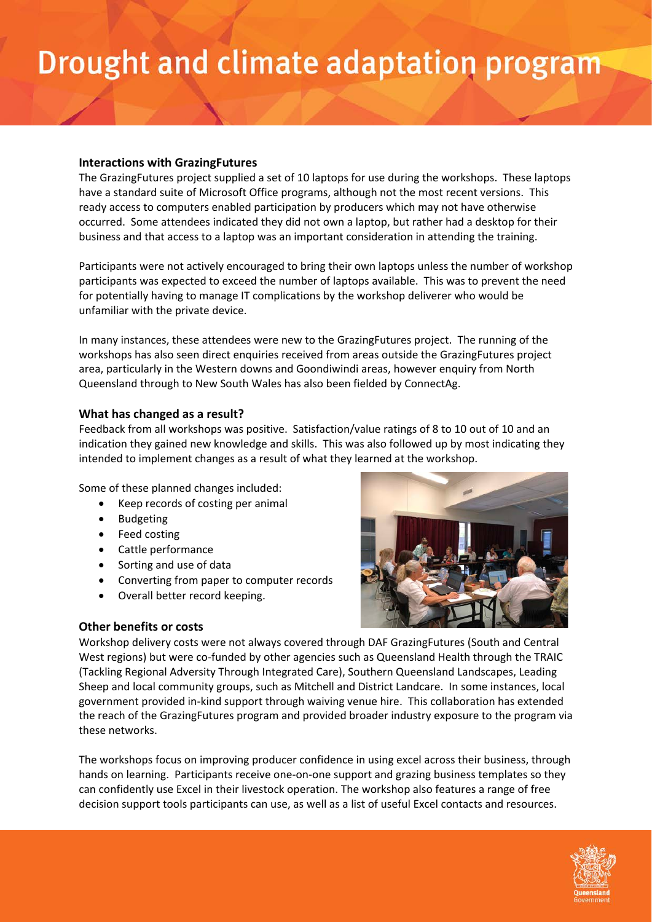# Drought and climate adaptation program

#### **Interactions with GrazingFutures**

The GrazingFutures project supplied a set of 10 laptops for use during the workshops. These laptops have a standard suite of Microsoft Office programs, although not the most recent versions. This ready access to computers enabled participation by producers which may not have otherwise occurred. Some attendees indicated they did not own a laptop, but rather had a desktop for their business and that access to a laptop was an important consideration in attending the training.

Participants were not actively encouraged to bring their own laptops unless the number of workshop participants was expected to exceed the number of laptops available. This was to prevent the need for potentially having to manage IT complications by the workshop deliverer who would be unfamiliar with the private device.

In many instances, these attendees were new to the GrazingFutures project. The running of the workshops has also seen direct enquiries received from areas outside the GrazingFutures project area, particularly in the Western downs and Goondiwindi areas, however enquiry from North Queensland through to New South Wales has also been fielded by ConnectAg.

### **What has changed as a result?**

Feedback from all workshops was positive. Satisfaction/value ratings of 8 to 10 out of 10 and an indication they gained new knowledge and skills. This was also followed up by most indicating they intended to implement changes as a result of what they learned at the workshop.

Some of these planned changes included:

- Keep records of costing per animal
- Budgeting
- Feed costing
- Cattle performance
- Sorting and use of data
- Converting from paper to computer records
- Overall better record keeping.



### **Other benefits or costs**

Workshop delivery costs were not always covered through DAF GrazingFutures (South and Central West regions) but were co-funded by other agencies such as Queensland Health through the TRAIC (Tackling Regional Adversity Through Integrated Care), Southern Queensland Landscapes, Leading Sheep and local community groups, such as Mitchell and District Landcare. In some instances, local government provided in-kind support through waiving venue hire. This collaboration has extended the reach of the GrazingFutures program and provided broader industry exposure to the program via these networks.

The workshops focus on improving producer confidence in using excel across their business, through hands on learning. Participants receive one-on-one support and grazing business templates so they can confidently use Excel in their livestock operation. The workshop also features a range of free decision support tools participants can use, as well as a list of useful Excel contacts and resources.